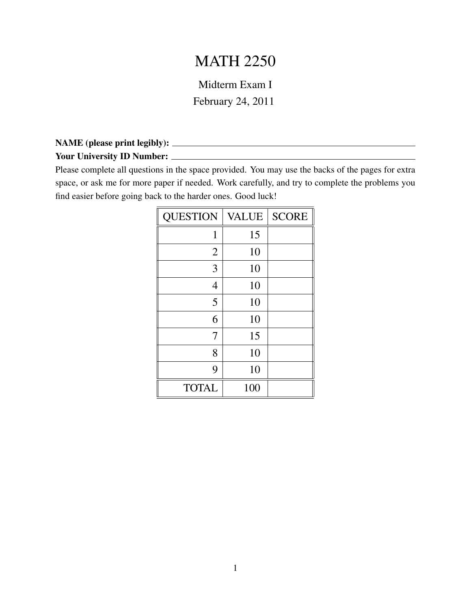## MATH 2250

## Midterm Exam I

February 24, 2011

## NAME (please print legibly):

## Your University ID Number:

Please complete all questions in the space provided. You may use the backs of the pages for extra space, or ask me for more paper if needed. Work carefully, and try to complete the problems you find easier before going back to the harder ones. Good luck!

| <b>QUESTION</b> | <b>VALUE</b> | <b>SCORE</b> |
|-----------------|--------------|--------------|
| 1               | 15           |              |
| $\overline{2}$  | 10           |              |
| 3               | 10           |              |
| $\overline{4}$  | 10           |              |
| 5               | 10           |              |
| 6               | 10           |              |
| 7               | 15           |              |
| 8               | 10           |              |
| 9               | 10           |              |
| <b>TOTAL</b>    | 100          |              |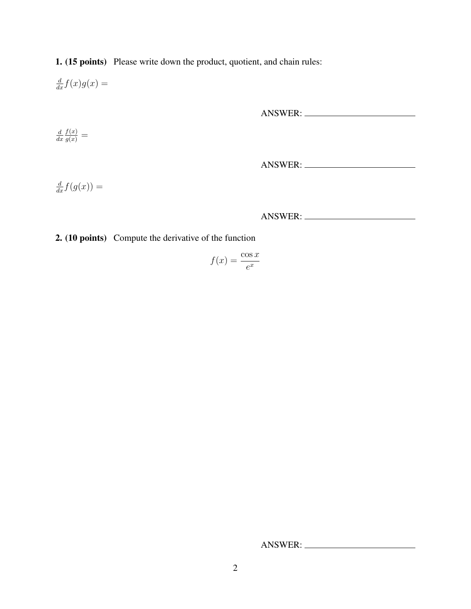1. (15 points) Please write down the product, quotient, and chain rules:

 $\frac{d}{dx}f(x)g(x) =$ 

ANSWER:

d  $dx$  $\frac{f(x)}{g(x)} =$ 

ANSWER:

 $\frac{d}{dx}f(g(x)) =$ 

ANSWER:

2. (10 points) Compute the derivative of the function

$$
f(x) = \frac{\cos x}{e^x}
$$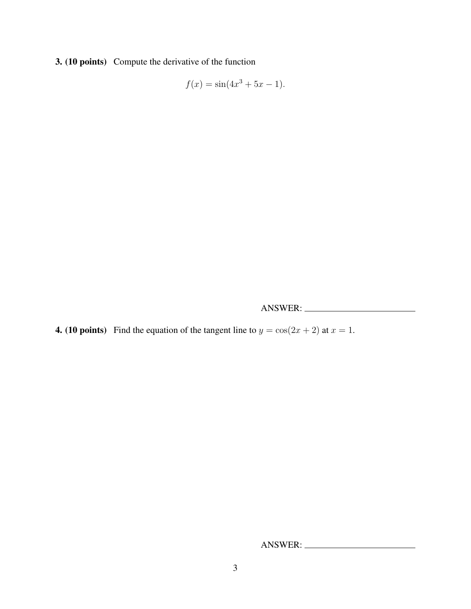3. (10 points) Compute the derivative of the function

$$
f(x) = \sin(4x^3 + 5x - 1).
$$

ANSWER:

4. (10 points) Find the equation of the tangent line to  $y = cos(2x + 2)$  at  $x = 1$ .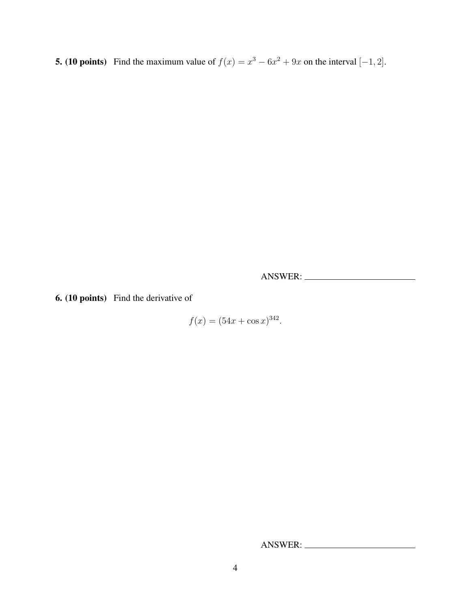**5.** (10 points) Find the maximum value of  $f(x) = x^3 - 6x^2 + 9x$  on the interval  $[-1, 2]$ .

ANSWER:

6. (10 points) Find the derivative of

 $f(x) = (54x + \cos x)^{342}.$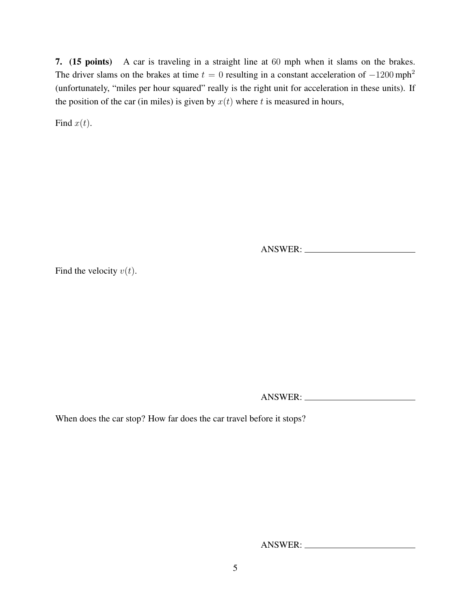7. (15 points) A car is traveling in a straight line at 60 mph when it slams on the brakes. The driver slams on the brakes at time  $t = 0$  resulting in a constant acceleration of  $-1200$  mph<sup>2</sup> (unfortunately, "miles per hour squared" really is the right unit for acceleration in these units). If the position of the car (in miles) is given by  $x(t)$  where t is measured in hours,

Find  $x(t)$ .

ANSWER:

Find the velocity  $v(t)$ .

ANSWER:

When does the car stop? How far does the car travel before it stops?